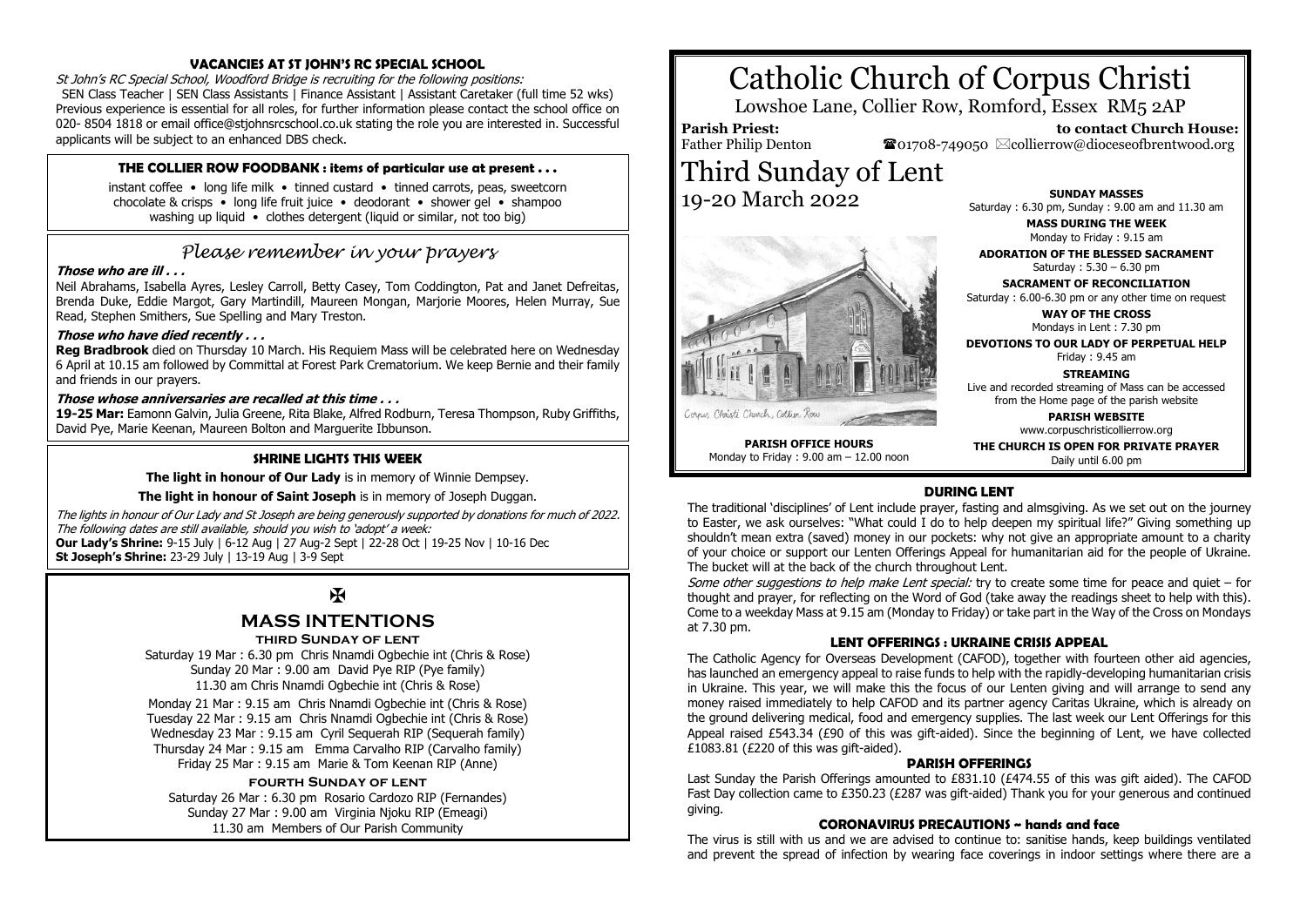# **VACANCIES AT ST JOHN'S RC SPECIAL SCHOOL**

St John's RC Special School, Woodford Bridge is recruiting for the following positions: SEN Class Teacher | SEN Class Assistants | Finance Assistant | Assistant Caretaker (full time 52 wks) Previous experience is essential for all roles, for further information please contact the school office on 020- 8504 1818 or email office@stjohnsrcschool.co.uk stating the role you are interested in. Successful applicants will be subject to an enhanced DBS check.

# **THE COLLIER ROW FOODBANK : items of particular use at present . . .**

instant coffee • long life milk • tinned custard • tinned carrots, peas, sweetcorn chocolate & crisps • long life fruit juice • deodorant • shower gel • shampoo washing up liquid • clothes detergent (liquid or similar, not too big)

# *Please remember in your prayers*

# **Those who are ill . . .**

Neil Abrahams, Isabella Ayres, Lesley Carroll, Betty Casey, Tom Coddington, Pat and Janet Defreitas, Brenda Duke, Eddie Margot, Gary Martindill, Maureen Mongan, Marjorie Moores, Helen Murray, Sue Read, Stephen Smithers, Sue Spelling and Mary Treston.

## **Those who have died recently . . .**

**Reg Bradbrook** died on Thursday 10 March. His Requiem Mass will be celebrated here on Wednesday 6 April at 10.15 am followed by Committal at Forest Park Crematorium. We keep Bernie and their family and friends in our prayers.

## **Those whose anniversaries are recalled at this time . . .**

**19-25 Mar:** Eamonn Galvin, Julia Greene, Rita Blake, Alfred Rodburn, Teresa Thompson, Ruby Griffiths, David Pye, Marie Keenan, Maureen Bolton and Marguerite Ibbunson.

## **SHRINE LIGHTS THIS WEEK**

**The light in honour of Our Lady** is in memory of Winnie Dempsey.

#### **The light in honour of Saint Joseph** is in memory of Joseph Duggan.

The lights in honour of Our Lady and St Joseph are being generously supported by donations for much of 2022. The following dates are still available, should you wish to 'adopt' a week: **Our Lady's Shrine:** 9-15 July | 6-12 Aug | 27 Aug-2 Sept | 22-28 Oct | 19-25 Nov | 10-16 Dec **St Joseph's Shrine:** 23-29 July | 13-19 Aug | 3-9 Sept

# $\mathbf{H}$

# **MASS INTENTIONS**

#### **third Sunday of lent**

Saturday 19 Mar : 6.30 pm Chris Nnamdi Ogbechie int (Chris & Rose) Sunday 20 Mar : 9.00 am David Pye RIP (Pye family) 11.30 am Chris Nnamdi Ogbechie int (Chris & Rose)

Monday 21 Mar : 9.15 am Chris Nnamdi Ogbechie int (Chris & Rose) Tuesday 22 Mar : 9.15 am Chris Nnamdi Ogbechie int (Chris & Rose) Wednesday 23 Mar : 9.15 am Cyril Sequerah RIP (Sequerah family) Thursday 24 Mar : 9.15 am Emma Carvalho RIP (Carvalho family) Friday 25 Mar : 9.15 am Marie & Tom Keenan RIP (Anne)

## **fourth Sunday of lent**

Saturday 26 Mar : 6.30 pm Rosario Cardozo RIP (Fernandes) Sunday 27 Mar : 9.00 am Virginia Njoku RIP (Emeagi) 11.30 am Members of Our Parish Community

# Catholic Church of Corpus Christi

Lowshoe Lane, Collier Row, Romford, Essex RM5 2AP

**Parish Priest:** Father Philip Denton  $\bullet$ 01708-749050  $\boxtimes$ collierrow@dioceseofbrentwood.org Third Sunday of Lent

19-20 March 2022



**SUNDAY MASSES** Saturday : 6.30 pm, Sunday : 9.00 am and 11.30 am

 **to contact Church House:**

**MASS DURING THE WEEK** Monday to Friday : 9.15 am

**ADORATION OF THE BLESSED SACRAMENT** Saturday : 5.30 – 6.30 pm

**SACRAMENT OF RECONCILIATION** Saturday : 6.00-6.30 pm or any other time on request

**WAY OF THE CROSS** Mondays in Lent : 7.30 pm

**DEVOTIONS TO OUR LADY OF PERPETUAL HELP** Friday : 9.45 am

**STREAMING** Live and recorded streaming of Mass can be accessed from the Home page of the parish website

> **PARISH WEBSITE** www.corpuschristicollierrow.org

**PARISH OFFICE HOURS** Monday to Friday : 9.00 am – 12.00 noon **THE CHURCH IS OPEN FOR PRIVATE PRAYER** Daily until 6.00 pm

# **DURING LENT**

The traditional 'disciplines' of Lent include prayer, fasting and almsgiving. As we set out on the journey to Easter, we ask ourselves: "What could I do to help deepen my spiritual life?" Giving something up shouldn't mean extra (saved) money in our pockets: why not give an appropriate amount to a charity of your choice or support our Lenten Offerings Appeal for humanitarian aid for the people of Ukraine. The bucket will at the back of the church throughout Lent.

Some other suggestions to help make Lent special: try to create some time for peace and quiet – for thought and prayer, for reflecting on the Word of God (take away the readings sheet to help with this). Come to a weekday Mass at 9.15 am (Monday to Friday) or take part in the Way of the Cross on Mondays at 7.30 pm.

## **LENT OFFERINGS : UKRAINE CRISIS APPEAL**

The Catholic Agency for Overseas Development (CAFOD), together with fourteen other aid agencies, has launched an emergency appeal to raise funds to help with the rapidly-developing humanitarian crisis in Ukraine. This year, we will make this the focus of our Lenten giving and will arrange to send any money raised immediately to help CAFOD and its partner agency Caritas Ukraine, which is already on the ground delivering medical, food and emergency supplies. The last week our Lent Offerings for this Appeal raised £543.34 (£90 of this was gift-aided). Since the beginning of Lent, we have collected £1083.81 (£220 of this was gift-aided).

## **PARISH OFFERINGS**

Last Sunday the Parish Offerings amounted to £831.10 (£474.55 of this was gift aided). The CAFOD Fast Day collection came to £350.23 (£287 was gift-aided) Thank you for your generous and continued giving.

## **CORONAVIRUS PRECAUTIONS ~ hands and face**

The virus is still with us and we are advised to continue to: sanitise hands, keep buildings ventilated and prevent the spread of infection by wearing face coverings in indoor settings where there are a